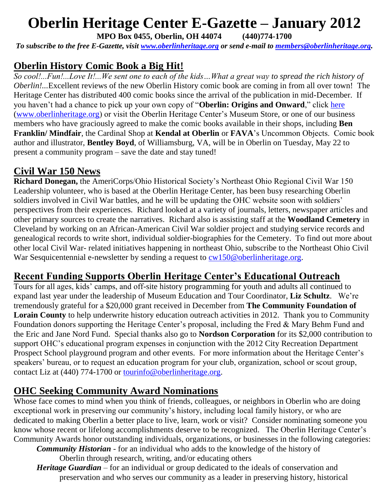# **Oberlin Heritage Center E-Gazette – January 2012**

**MPO Box 0455, Oberlin, OH 44074 (440)774-1700**

*To subscribe to the free E-Gazette, visit [www.oberlinheritage.org](http://www.oberlinheritage.org/) or send e-mail to [members@oberlinheritage.org](mailto:members@oberlinheritage.org).*

## **Oberlin History Comic Book a Big Hit!**

*So cool!...Fun!...Love It!...We sent one to each of the kids…What a great way to spread the rich history of Oberlin!...*Excellent reviews of the new Oberlin History comic book are coming in from all over town! The Heritage Center has distributed 400 comic books since the arrival of the publication in mid-December. If you haven't had a chance to pick up your own copy of "**Oberlin: Origins and Onward**," click [here](http://www.oberlinheritage.org/whatsnew?view=189) [\(www.oberlinheritage.org\)](http://www.oberlinheritage.org/) or visit the Oberlin Heritage Center's Museum Store, or one of our business members who have graciously agreed to make the comic books available in their shops, including **Ben Franklin/ Mindfair**, the Cardinal Shop at **Kendal at Oberlin** or **FAVA**'s Uncommon Objects. Comic book author and illustrator, **Bentley Boyd**, of Williamsburg, VA, will be in Oberlin on Tuesday, May 22 to present a community program – save the date and stay tuned!

## **Civil War 150 News**

**Richard Donegan,** the AmeriCorps/Ohio Historical Society's Northeast Ohio Regional Civil War 150 Leadership volunteer, who is based at the Oberlin Heritage Center, has been busy researching Oberlin soldiers involved in Civil War battles, and he will be updating the OHC website soon with soldiers' perspectives from their experiences. Richard looked at a variety of journals, letters, newspaper articles and other primary sources to create the narratives. Richard also is assisting staff at the **Woodland Cemetery** in Cleveland by working on an African-American Civil War soldier project and studying service records and genealogical records to write short, individual soldier-biographies for the Cemetery. To find out more about other local Civil War- related initiatives happening in northeast Ohio, subscribe to the Northeast Ohio Civil War Sesquicentennial e-newsletter by sending a request to  $cw150@oberlinheritage.org$ .

#### **Recent Funding Supports Oberlin Heritage Center's Educational Outreach**

Tours for all ages, kids' camps, and off-site history programming for youth and adults all continued to expand last year under the leadership of Museum Education and Tour Coordinator, **Liz Schultz**. We're tremendously grateful for a \$20,000 grant received in December from **The Community Foundation of Lorain County** to help underwrite history education outreach activities in 2012. Thank you to Community Foundation donors supporting the Heritage Center's proposal, including the Fred & Mary Behm Fund and the Eric and Jane Nord Fund. Special thanks also go to **Nordson Corporation** for its \$2,000 contribution to support OHC's educational program expenses in conjunction with the 2012 City Recreation Department Prospect School playground program and other events. For more information about the Heritage Center's speakers' bureau, or to request an education program for your club, organization, school or scout group, contact Liz at (440) 774-1700 or [tourinfo@oberlinheritage.org.](mailto:tourinfo@oberlinheritage.org)

#### **OHC Seeking Community Award Nominations**

Whose face comes to mind when you think of friends, colleagues, or neighbors in Oberlin who are doing exceptional work in preserving our community's history, including local family history, or who are dedicated to making Oberlin a better place to live, learn, work or visit? Consider nominating someone you know whose recent or lifelong accomplishments deserve to be recognized. The Oberlin Heritage Center's Community Awards honor outstanding individuals, organizations, or businesses in the following categories:

*Community Historian* - for an individual who adds to the knowledge of the history of Oberlin through research, writing, and/or educating others

*Heritage Guardian* – for an individual or group dedicated to the ideals of conservation and preservation and who serves our community as a leader in preserving history, historical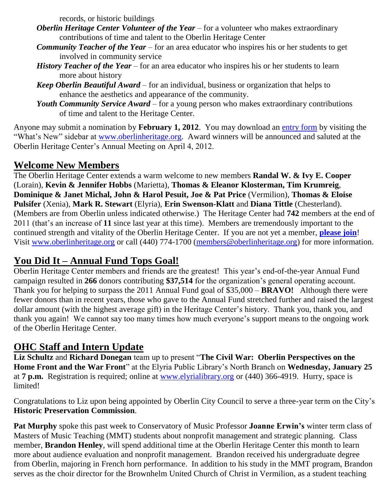records, or historic buildings

- *Oberlin Heritage Center Volunteer of the Year* for a volunteer who makes extraordinary contributions of time and talent to the Oberlin Heritage Center
- *Community Teacher of the Year* for an area educator who inspires his or her students to get involved in community service
- *History Teacher of the Year* for an area educator who inspires his or her students to learn more about history
- *Keep Oberlin Beautiful Award* for an individual, business or organization that helps to enhance the aesthetics and appearance of the community.
- *Youth Community Service Award* for a young person who makes extraordinary contributions of time and talent to the Heritage Center.

Anyone may submit a nomination by **February 1, 2012**. You may download an [entry form](http://www.oberlinheritage.org/files/whatsnew/attachments/Awards_brochure_2012.pdf) by visiting the "What's New" sidebar at [www.oberlinheritage.org.](http://www.oberlinheritage.org/) Award winners will be announced and saluted at the Oberlin Heritage Center's Annual Meeting on April 4, 2012.

#### **Welcome New Members**

The Oberlin Heritage Center extends a warm welcome to new members **Randal W. & Ivy E. Cooper** (Lorain), **Kevin & Jennifer Hobbs** (Marietta), **Thomas & Eleanor Klosterman, Tim Krumreig**, **Dominique & Janet Michal, John & Harol Pesuit, Joe & Pat Price** (Vermilion), **Thomas & Eloise Pulsifer** (Xenia), **Mark R. Stewart** (Elyria), **Erin Swenson-Klatt** and **Diana Tittle** (Chesterland). (Members are from Oberlin unless indicated otherwise.) The Heritage Center had **742** members at the end of 2011 (that's an increase of **11** since last year at this time). Members are tremendously important to the continued strength and vitality of the Oberlin Heritage Center. If you are not yet a member, **[please join](http://www.oberlinheritage.org/getinvolved/join)**! Visit [www.oberlinheritage.org](http://www.oberlinheritage.org/) or call (440) 774-1700 [\(members@oberlinheritage.org\)](mailto:members@oberlinheritage.org) for more information.

## **You Did It – Annual Fund Tops Goal!**

Oberlin Heritage Center members and friends are the greatest! This year's end-of-the-year Annual Fund campaign resulted in **266** donors contributing **\$37,514** for the organization's general operating account. Thank you for helping to surpass the 2011 Annual Fund goal of \$35,000 – **BRAVO!** Although there were fewer donors than in recent years, those who gave to the Annual Fund stretched further and raised the largest dollar amount (with the highest average gift) in the Heritage Center's history. Thank you, thank you, and thank you again! We cannot say too many times how much everyone's support means to the ongoing work of the Oberlin Heritage Center.

## **OHC Staff and Intern Update**

**Liz Schultz** and **Richard Donegan** team up to present ―**The Civil War: Oberlin Perspectives on the Home Front and the War Front**" at the Elyria Public Library's North Branch on **Wednesday**, January 25 at **7 p.m.** Registration is required; online at [www.elyrialibrary.org](http://www.elyrialibrary.org/) or (440) 366-4919. Hurry, space is limited!

Congratulations to Liz upon being appointed by Oberlin City Council to serve a three-year term on the City's **Historic Preservation Commission**.

**Pat Murphy** spoke this past week to Conservatory of Music Professor **Joanne Erwin's** winter term class of Masters of Music Teaching (MMT) students about nonprofit management and strategic planning. Class member, **Brandon Henley**, will spend additional time at the Oberlin Heritage Center this month to learn more about audience evaluation and nonprofit management. Brandon received his undergraduate degree from Oberlin, majoring in French horn performance. In addition to his study in the MMT program, Brandon serves as the choir director for the Brownhelm United Church of Christ in Vermilion, as a student teaching